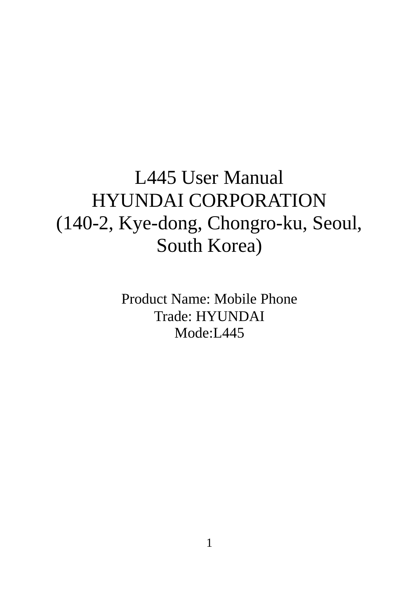# L445 User Manual HYUNDAI CORPORATION (140-2, Kye-dong, Chongro-ku, Seoul, South Korea)

Product Name: Mobile Phone Trade: HYUNDAI Mode:L445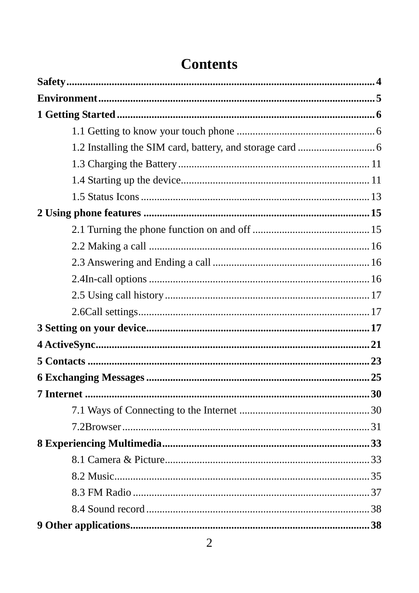## **Contents**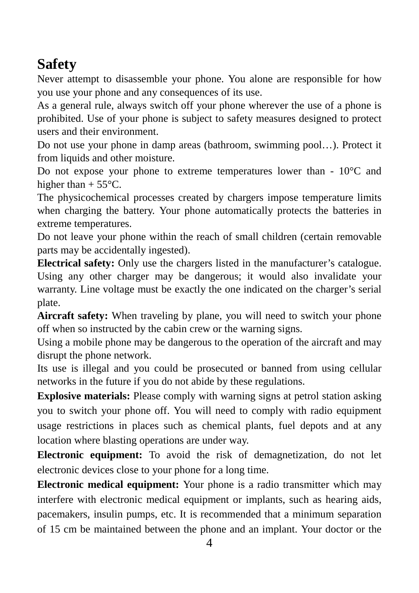# **Safety**

Never attempt to disassemble your phone. You alone are responsible for how you use your phone and any consequences of its use.

As a general rule, always switch off your phone wherever the use of a phone is prohibited. Use of your phone is subject to safety measures designed to protect users and their environment.

Do not use your phone in damp areas (bathroom, swimming pool…). Protect it from liquids and other moisture.

Do not expose your phone to extreme temperatures lower than - 10°C and higher than  $+ 55^{\circ}$ C.

The physicochemical processes created by chargers impose temperature limits when charging the battery. Your phone automatically protects the batteries in extreme temperatures.

Do not leave your phone within the reach of small children (certain removable parts may be accidentally ingested).

**Electrical safety:** Only use the chargers listed in the manufacturer's catalogue. Using any other charger may be dangerous; it would also invalidate your warranty. Line voltage must be exactly the one indicated on the charger's serial plate.

**Aircraft safety:** When traveling by plane, you will need to switch your phone off when so instructed by the cabin crew or the warning signs.

Using a mobile phone may be dangerous to the operation of the aircraft and may disrupt the phone network.

Its use is illegal and you could be prosecuted or banned from using cellular networks in the future if you do not abide by these regulations.

**Explosive materials:** Please comply with warning signs at petrol station asking you to switch your phone off. You will need to comply with radio equipment usage restrictions in places such as chemical plants, fuel depots and at any location where blasting operations are under way.

**Electronic equipment:** To avoid the risk of demagnetization, do not let electronic devices close to your phone for a long time.

**Electronic medical equipment:** Your phone is a radio transmitter which may interfere with electronic medical equipment or implants, such as hearing aids, pacemakers, insulin pumps, etc. It is recommended that a minimum separation of 15 cm be maintained between the phone and an implant. Your doctor or the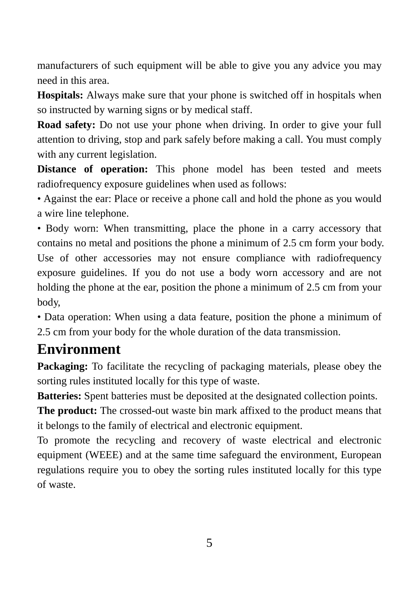manufacturers of such equipment will be able to give you any advice you may need in this area.

**Hospitals:** Always make sure that your phone is switched off in hospitals when so instructed by warning signs or by medical staff.

**Road safety:** Do not use your phone when driving. In order to give your full attention to driving, stop and park safely before making a call. You must comply with any current legislation.

**Distance of operation:** This phone model has been tested and meets radiofrequency exposure guidelines when used as follows:

• Against the ear: Place or receive a phone call and hold the phone as you would a wire line telephone.

• Body worn: When transmitting, place the phone in a carry accessory that contains no metal and positions the phone a minimum of 2.5 cm form your body. Use of other accessories may not ensure compliance with radiofrequency exposure guidelines. If you do not use a body worn accessory and are not holding the phone at the ear, position the phone a minimum of 2.5 cm from your body,

• Data operation: When using a data feature, position the phone a minimum of 2.5 cm from your body for the whole duration of the data transmission.

## **Environment**

**Packaging:** To facilitate the recycling of packaging materials, please obey the sorting rules instituted locally for this type of waste.

**Batteries:** Spent batteries must be deposited at the designated collection points.

**The product:** The crossed-out waste bin mark affixed to the product means that it belongs to the family of electrical and electronic equipment.

To promote the recycling and recovery of waste electrical and electronic equipment (WEEE) and at the same time safeguard the environment, European regulations require you to obey the sorting rules instituted locally for this type of waste.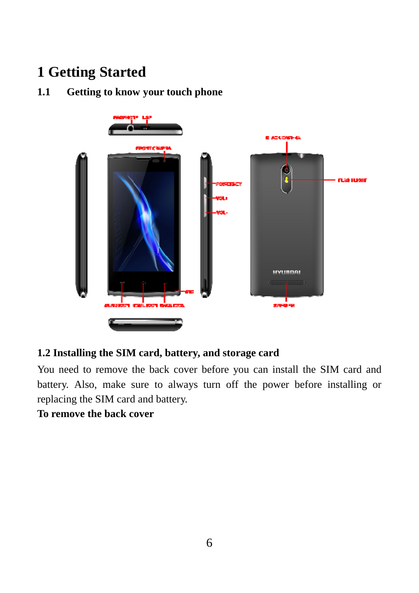## **1 Getting Started**

### **1.1 Getting to know your touch phone**



#### **1.2 Installing the SIM card, battery, and storage card**

You need to remove the back cover before you can install the SIM card and battery. Also, make sure to always turn off the power before installing or replacing the SIM card and battery.

#### **To remove the back cover**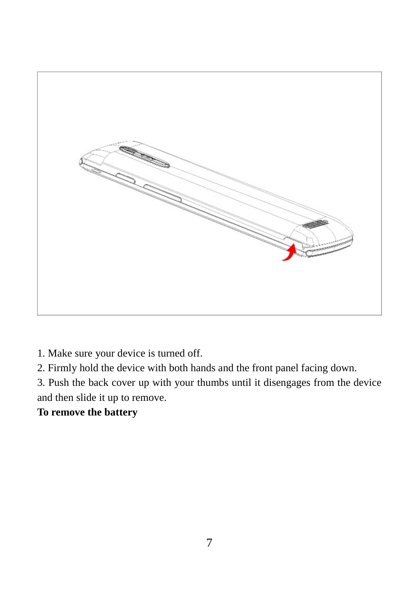

1. Make sure your device is turned off.

2. Firmly hold the device with both hands and the front panel facing down.

3. Push the back cover up with your thumbs until it disengages from the device and then slide it up to remove.

#### **To remove the battery**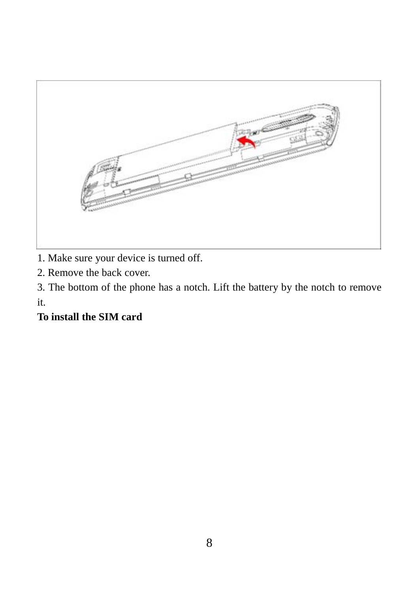

1. Make sure your device is turned off.

2. Remove the back cover.

3. The bottom of the phone has a notch. Lift the battery by the notch to remove it.

## **To install the SIM card**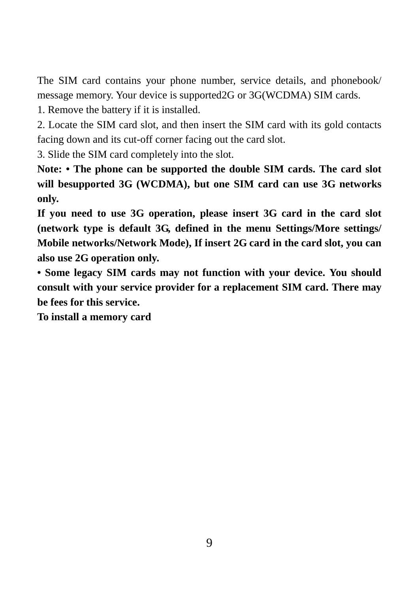The SIM card contains your phone number, service details, and phonebook/ message memory. Your device is supported2G or 3G(WCDMA) SIM cards.

1. Remove the battery if it is installed.

2. Locate the SIM card slot, and then insert the SIM card with its gold contacts facing down and its cut-off corner facing out the card slot.

3. Slide the SIM card completely into the slot.

Note: • The phone can be supported the double SIM cards. The card slot **will besupported 3G (WCDMA), but one SIM card can use 3G networks only.** 

**If you need to use 3G operation, please insert 3G card in the card slot (network type is default 3G, defined in the menu Settings/More settings/ Mobile networks/Network Mode), If insert 2G card in the card slot, you can also use 2G operation only.** 

**• Some legacy SIM cards may not function with your device. You should consult with your service provider for a replacement SIM card. There may be fees for this service.** 

**To install a memory card**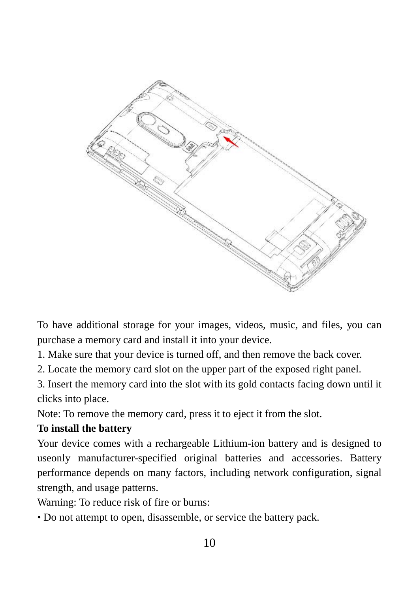

To have additional storage for your images, videos, music, and files, you can purchase a memory card and install it into your device.

1. Make sure that your device is turned off, and then remove the back cover.

2. Locate the memory card slot on the upper part of the exposed right panel.

3. Insert the memory card into the slot with its gold contacts facing down until it clicks into place.

Note: To remove the memory card, press it to eject it from the slot.

#### **To install the battery**

Your device comes with a rechargeable Lithium-ion battery and is designed to useonly manufacturer-specified original batteries and accessories. Battery performance depends on many factors, including network configuration, signal strength, and usage patterns.

Warning: To reduce risk of fire or burns:

• Do not attempt to open, disassemble, or service the battery pack.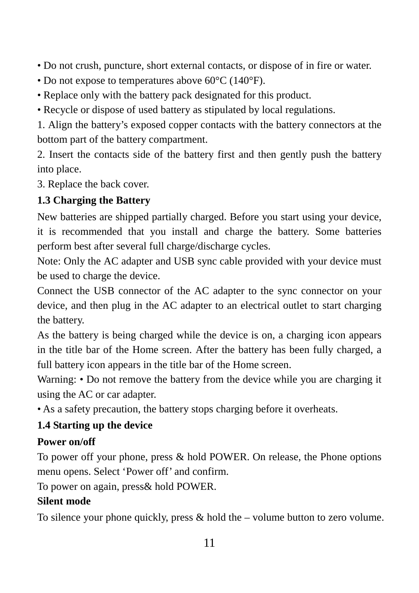• Do not crush, puncture, short external contacts, or dispose of in fire or water.

- Do not expose to temperatures above 60°C (140°F).
- Replace only with the battery pack designated for this product.
- Recycle or dispose of used battery as stipulated by local regulations.

1. Align the battery's exposed copper contacts with the battery connectors at the bottom part of the battery compartment.

2. Insert the contacts side of the battery first and then gently push the battery into place.

3. Replace the back cover.

#### **1.3 Charging the Battery**

New batteries are shipped partially charged. Before you start using your device, it is recommended that you install and charge the battery. Some batteries perform best after several full charge/discharge cycles.

Note: Only the AC adapter and USB sync cable provided with your device must be used to charge the device.

Connect the USB connector of the AC adapter to the sync connector on your device, and then plug in the AC adapter to an electrical outlet to start charging the battery.

As the battery is being charged while the device is on, a charging icon appears in the title bar of the Home screen. After the battery has been fully charged, a full battery icon appears in the title bar of the Home screen.

Warning: • Do not remove the battery from the device while you are charging it using the AC or car adapter.

• As a safety precaution, the battery stops charging before it overheats.

#### **1.4 Starting up the device**

#### **Power on/off**

To power off your phone, press & hold POWER. On release, the Phone options menu opens. Select 'Power off' and confirm.

To power on again, press& hold POWER.

#### **Silent mode**

To silence your phone quickly, press  $\&$  hold the – volume button to zero volume.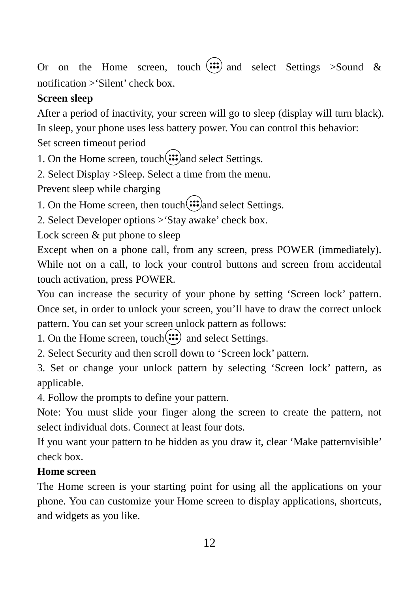Or on the Home screen, touch  $\left(\because \because \right)$  and select Settings >Sound & notification >'Silent' check box.

#### **Screen sleep**

After a period of inactivity, your screen will go to sleep (display will turn black). In sleep, your phone uses less battery power. You can control this behavior: Set screen timeout period

1. On the Home screen, touch $\left(\mathbf{ii}\right)$  and select Settings.

2. Select Display >Sleep. Select a time from the menu.

Prevent sleep while charging

1. On the Home screen, then touch $\left(\mathbf{ii}\right)$  and select Settings.

2. Select Developer options >'Stay awake' check box.

Lock screen  $\&$  put phone to sleep

Except when on a phone call, from any screen, press POWER (immediately). While not on a call, to lock your control buttons and screen from accidental touch activation, press POWER.

You can increase the security of your phone by setting 'Screen lock' pattern. Once set, in order to unlock your screen, you'll have to draw the correct unlock pattern. You can set your screen unlock pattern as follows:

1. On the Home screen, touch $(ii)$  and select Settings.

2. Select Security and then scroll down to 'Screen lock' pattern.

3. Set or change your unlock pattern by selecting 'Screen lock' pattern, as applicable.

4. Follow the prompts to define your pattern.

Note: You must slide your finger along the screen to create the pattern, not select individual dots. Connect at least four dots.

If you want your pattern to be hidden as you draw it, clear 'Make patternvisible' check box.

## **Home screen**

The Home screen is your starting point for using all the applications on your phone. You can customize your Home screen to display applications, shortcuts, and widgets as you like.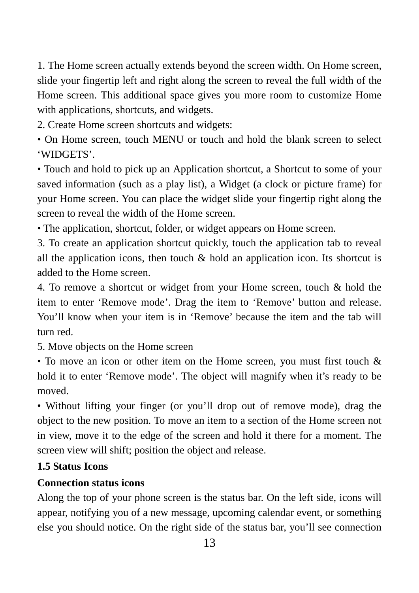1. The Home screen actually extends beyond the screen width. On Home screen, slide your fingertip left and right along the screen to reveal the full width of the Home screen. This additional space gives you more room to customize Home with applications, shortcuts, and widgets.

2. Create Home screen shortcuts and widgets:

• On Home screen, touch MENU or touch and hold the blank screen to select 'WIDGETS'.

• Touch and hold to pick up an Application shortcut, a Shortcut to some of your saved information (such as a play list), a Widget (a clock or picture frame) for your Home screen. You can place the widget slide your fingertip right along the screen to reveal the width of the Home screen.

• The application, shortcut, folder, or widget appears on Home screen.

3. To create an application shortcut quickly, touch the application tab to reveal all the application icons, then touch  $\&$  hold an application icon. Its shortcut is added to the Home screen.

4. To remove a shortcut or widget from your Home screen, touch & hold the item to enter 'Remove mode'. Drag the item to 'Remove' button and release. You'll know when your item is in 'Remove' because the item and the tab will turn red.

5. Move objects on the Home screen

• To move an icon or other item on the Home screen, you must first touch & hold it to enter 'Remove mode'. The object will magnify when it's ready to be moved.

• Without lifting your finger (or you'll drop out of remove mode), drag the object to the new position. To move an item to a section of the Home screen not in view, move it to the edge of the screen and hold it there for a moment. The screen view will shift; position the object and release.

#### **1.5 Status Icons**

#### **Connection status icons**

Along the top of your phone screen is the status bar. On the left side, icons will appear, notifying you of a new message, upcoming calendar event, or something else you should notice. On the right side of the status bar, you'll see connection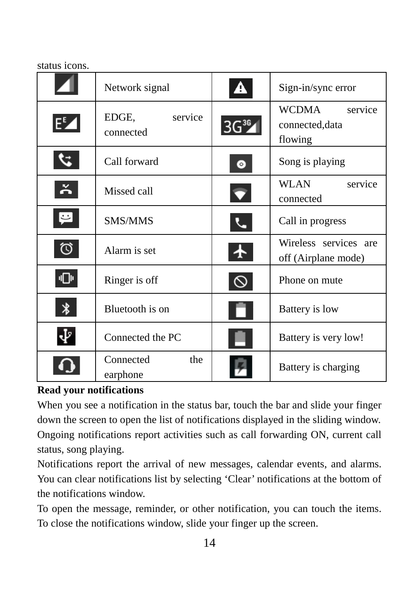#### status icons.

|                   | Network signal                | $\blacktriangle$                | Sign-in/sync error                             |
|-------------------|-------------------------------|---------------------------------|------------------------------------------------|
| EZ                | EDGE,<br>service<br>connected | $3G^{36}$                       | WCDMA<br>service<br>connected, data<br>flowing |
| $\mathcal{L}$     | Call forward                  | $\bullet$                       | Song is playing                                |
| $\tilde{\bullet}$ | Missed call                   | $\overline{\blacktriangledown}$ | <b>WLAN</b><br>service<br>connected            |
| P                 | <b>SMS/MMS</b>                |                                 | Call in progress                               |
| ♡                 | Alarm is set                  | ෑ                               | Wireless services are<br>off (Airplane mode)   |
| վ∏⊪               | Ringer is off                 |                                 | Phone on mute                                  |
| ∦                 | Bluetooth is on               |                                 | Battery is low                                 |
| Ψ                 | Connected the PC              |                                 | Battery is very low!                           |
|                   | the<br>Connected<br>earphone  |                                 | Battery is charging                            |

#### **Read your notifications**

When you see a notification in the status bar, touch the bar and slide your finger down the screen to open the list of notifications displayed in the sliding window. Ongoing notifications report activities such as call forwarding ON, current call status, song playing.

Notifications report the arrival of new messages, calendar events, and alarms. You can clear notifications list by selecting 'Clear' notifications at the bottom of the notifications window.

To open the message, reminder, or other notification, you can touch the items. To close the notifications window, slide your finger up the screen.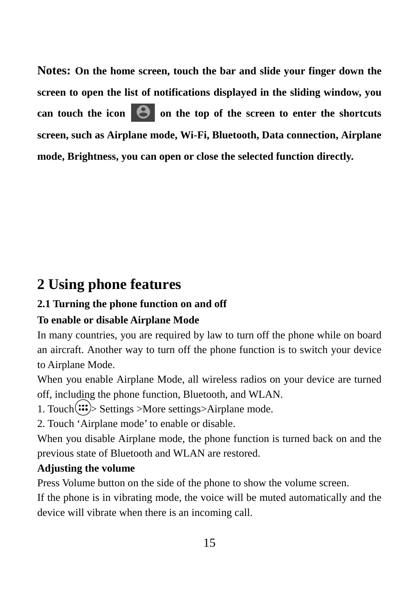**Notes: On the home screen, touch the bar and slide your finger down the screen to open the list of notifications displayed in the sliding window, you can touch the icon <b>o** on the top of the screen to enter the shortcuts **screen, such as Airplane mode, Wi-Fi, Bluetooth, Data connection, Airplane mode, Brightness, you can open or close the selected function directly.** 

## **2 Using phone features**

## **2.1 Turning the phone function on and off**

## **To enable or disable Airplane Mode**

In many countries, you are required by law to turn off the phone while on board an aircraft. Another way to turn off the phone function is to switch your device to Airplane Mode.

When you enable Airplane Mode, all wireless radios on your device are turned off, including the phone function, Bluetooth, and WLAN.

1. Touch $\langle \mathbf{ii} \rangle$ > Settings >More settings>Airplane mode.

2. Touch 'Airplane mode' to enable or disable.

When you disable Airplane mode, the phone function is turned back on and the previous state of Bluetooth and WLAN are restored.

## **Adjusting the volume**

Press Volume button on the side of the phone to show the volume screen.

If the phone is in vibrating mode, the voice will be muted automatically and the device will vibrate when there is an incoming call.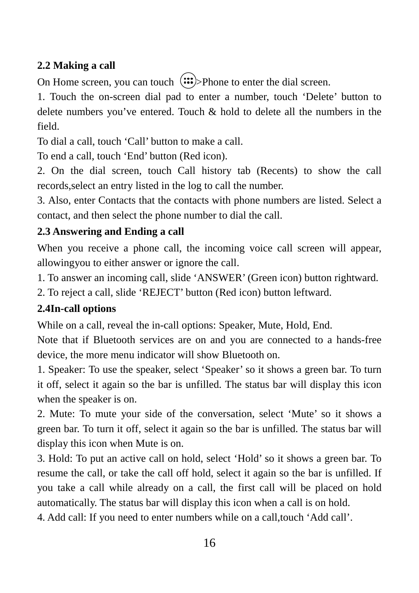## **2.2 Making a call**

On Home screen, you can touch  $\langle \mathbf{:::} \rangle$ >Phone to enter the dial screen.

1. Touch the on-screen dial pad to enter a number, touch 'Delete' button to delete numbers you've entered. Touch & hold to delete all the numbers in the field.

To dial a call, touch 'Call' button to make a call.

To end a call, touch 'End' button (Red icon).

2. On the dial screen, touch Call history tab (Recents) to show the call records,select an entry listed in the log to call the number.

3. Also, enter Contacts that the contacts with phone numbers are listed. Select a contact, and then select the phone number to dial the call.

#### **2.3 Answering and Ending a call**

When you receive a phone call, the incoming voice call screen will appear, allowingyou to either answer or ignore the call.

1. To answer an incoming call, slide 'ANSWER' (Green icon) button rightward.

2. To reject a call, slide 'REJECT' button (Red icon) button leftward.

#### **2.4In-call options**

While on a call, reveal the in-call options: Speaker, Mute, Hold, End.

Note that if Bluetooth services are on and you are connected to a hands-free device, the more menu indicator will show Bluetooth on.

1. Speaker: To use the speaker, select 'Speaker' so it shows a green bar. To turn it off, select it again so the bar is unfilled. The status bar will display this icon when the speaker is on.

2. Mute: To mute your side of the conversation, select 'Mute' so it shows a green bar. To turn it off, select it again so the bar is unfilled. The status bar will display this icon when Mute is on.

3. Hold: To put an active call on hold, select 'Hold' so it shows a green bar. To resume the call, or take the call off hold, select it again so the bar is unfilled. If you take a call while already on a call, the first call will be placed on hold automatically. The status bar will display this icon when a call is on hold.

4. Add call: If you need to enter numbers while on a call,touch 'Add call'.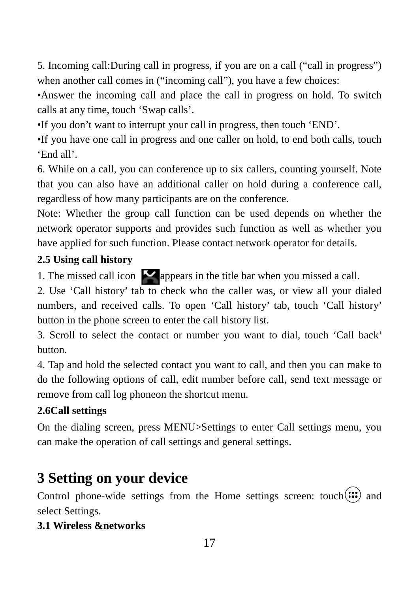5. Incoming call:During call in progress, if you are on a call ("call in progress") when another call comes in ("incoming call"), you have a few choices:

•Answer the incoming call and place the call in progress on hold. To switch calls at any time, touch 'Swap calls'.

•If you don't want to interrupt your call in progress, then touch 'END'.

•If you have one call in progress and one caller on hold, to end both calls, touch 'End all'.

6. While on a call, you can conference up to six callers, counting yourself. Note that you can also have an additional caller on hold during a conference call, regardless of how many participants are on the conference.

Note: Whether the group call function can be used depends on whether the network operator supports and provides such function as well as whether you have applied for such function. Please contact network operator for details.

#### **2.5 Using call history**

1. The missed call icon  $\blacksquare$  appears in the title bar when you missed a call.

2. Use 'Call history' tab to check who the caller was, or view all your dialed numbers, and received calls. To open 'Call history' tab, touch 'Call history' button in the phone screen to enter the call history list.

3. Scroll to select the contact or number you want to dial, touch 'Call back' button.

4. Tap and hold the selected contact you want to call, and then you can make to do the following options of call, edit number before call, send text message or remove from call log phoneon the shortcut menu.

#### **2.6Call settings**

On the dialing screen, press MENU>Settings to enter Call settings menu, you can make the operation of call settings and general settings.

## **3 Setting on your device**

Control phone-wide settings from the Home settings screen: touch $(ii)$  and select Settings.

#### **3.1 Wireless &networks**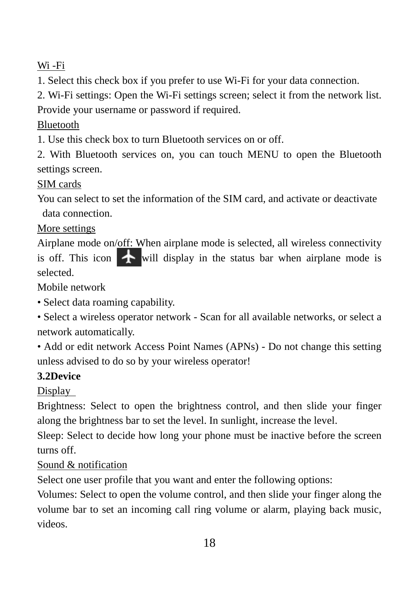Wi -Fi

1. Select this check box if you prefer to use Wi-Fi for your data connection.

2. Wi-Fi settings: Open the Wi-Fi settings screen; select it from the network list.

Provide your username or password if required.

## Bluetooth

1. Use this check box to turn Bluetooth services on or off.

2. With Bluetooth services on, you can touch MENU to open the Bluetooth settings screen.

### SIM cards

You can select to set the information of the SIM card, and activate or deactivate data connection.

### More settings

Airplane mode on/off: When airplane mode is selected, all wireless connectivity is off. This icon  $\bullet$  will display in the status bar when airplane mode is selected.

Mobile network

• Select data roaming capability.

• Select a wireless operator network - Scan for all available networks, or select a network automatically.

• Add or edit network Access Point Names (APNs) - Do not change this setting unless advised to do so by your wireless operator!

## **3.2Device**

Display

Brightness: Select to open the brightness control, and then slide your finger along the brightness bar to set the level. In sunlight, increase the level.

Sleep: Select to decide how long your phone must be inactive before the screen turns off.

## Sound & notification

Select one user profile that you want and enter the following options:

Volumes: Select to open the volume control, and then slide your finger along the volume bar to set an incoming call ring volume or alarm, playing back music, videos.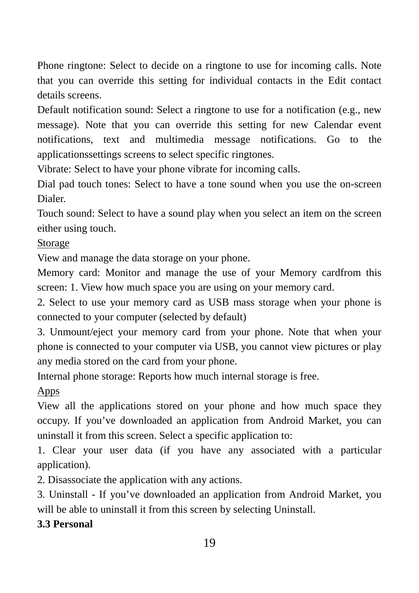Phone ringtone: Select to decide on a ringtone to use for incoming calls. Note that you can override this setting for individual contacts in the Edit contact details screens.

Default notification sound: Select a ringtone to use for a notification (e.g., new message). Note that you can override this setting for new Calendar event notifications, text and multimedia message notifications. Go to the applicationssettings screens to select specific ringtones.

Vibrate: Select to have your phone vibrate for incoming calls.

Dial pad touch tones: Select to have a tone sound when you use the on-screen Dialer.

Touch sound: Select to have a sound play when you select an item on the screen either using touch.

Storage

View and manage the data storage on your phone.

Memory card: Monitor and manage the use of your Memory cardfrom this screen: 1. View how much space you are using on your memory card.

2. Select to use your memory card as USB mass storage when your phone is connected to your computer (selected by default)

3. Unmount/eject your memory card from your phone. Note that when your phone is connected to your computer via USB, you cannot view pictures or play any media stored on the card from your phone.

Internal phone storage: Reports how much internal storage is free.

Apps

View all the applications stored on your phone and how much space they occupy. If you've downloaded an application from Android Market, you can uninstall it from this screen. Select a specific application to:

1. Clear your user data (if you have any associated with a particular application).

2. Disassociate the application with any actions.

3. Uninstall - If you've downloaded an application from Android Market, you will be able to uninstall it from this screen by selecting Uninstall.

**3.3 Personal**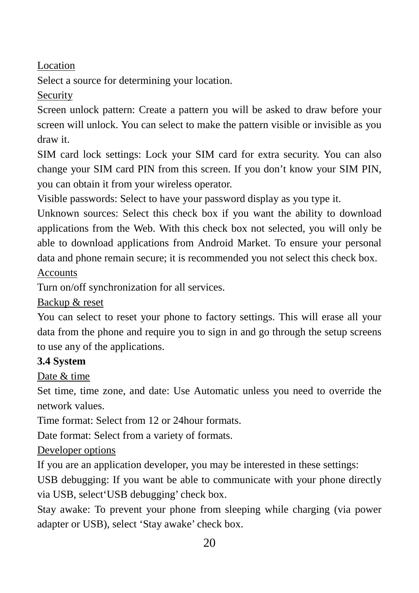Location

Select a source for determining your location.

Security

Screen unlock pattern: Create a pattern you will be asked to draw before your screen will unlock. You can select to make the pattern visible or invisible as you draw it.

SIM card lock settings: Lock your SIM card for extra security. You can also change your SIM card PIN from this screen. If you don't know your SIM PIN, you can obtain it from your wireless operator.

Visible passwords: Select to have your password display as you type it.

Unknown sources: Select this check box if you want the ability to download applications from the Web. With this check box not selected, you will only be able to download applications from Android Market. To ensure your personal data and phone remain secure; it is recommended you not select this check box.

Accounts

Turn on/off synchronization for all services.

Backup & reset

You can select to reset your phone to factory settings. This will erase all your data from the phone and require you to sign in and go through the setup screens to use any of the applications.

#### **3.4 System**

Date & time

Set time, time zone, and date: Use Automatic unless you need to override the network values.

Time format: Select from 12 or 24hour formats.

Date format: Select from a variety of formats.

Developer options

If you are an application developer, you may be interested in these settings:

USB debugging: If you want be able to communicate with your phone directly via USB, select'USB debugging' check box.

Stay awake: To prevent your phone from sleeping while charging (via power adapter or USB), select 'Stay awake' check box.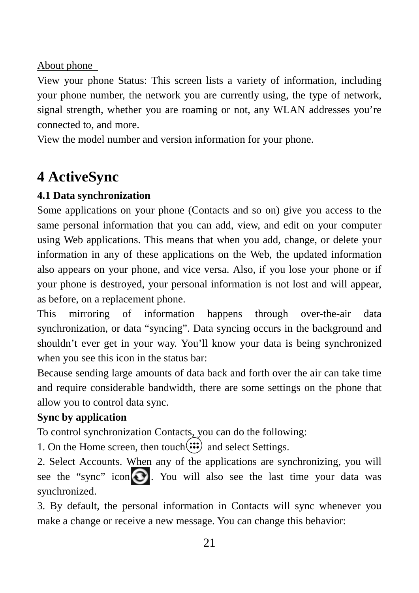#### About phone

View your phone Status: This screen lists a variety of information, including your phone number, the network you are currently using, the type of network, signal strength, whether you are roaming or not, any WLAN addresses you're connected to, and more.

View the model number and version information for your phone.

## **4 ActiveSync**

### **4.1 Data synchronization**

Some applications on your phone (Contacts and so on) give you access to the same personal information that you can add, view, and edit on your computer using Web applications. This means that when you add, change, or delete your information in any of these applications on the Web, the updated information also appears on your phone, and vice versa. Also, if you lose your phone or if your phone is destroyed, your personal information is not lost and will appear, as before, on a replacement phone.

This mirroring of information happens through over-the-air data synchronization, or data "syncing". Data syncing occurs in the background and shouldn't ever get in your way. You'll know your data is being synchronized when you see this icon in the status bar:

Because sending large amounts of data back and forth over the air can take time and require considerable bandwidth, there are some settings on the phone that allow you to control data sync.

#### **Sync by application**

To control synchronization Contacts, you can do the following:

1. On the Home screen, then touch $\left(\mathbf{ii}\right)$  and select Settings.

2. Select Accounts. When any of the applications are synchronizing, you will see the "sync" icon  $\bigodot$ . You will also see the last time your data was synchronized.

3. By default, the personal information in Contacts will sync whenever you make a change or receive a new message. You can change this behavior: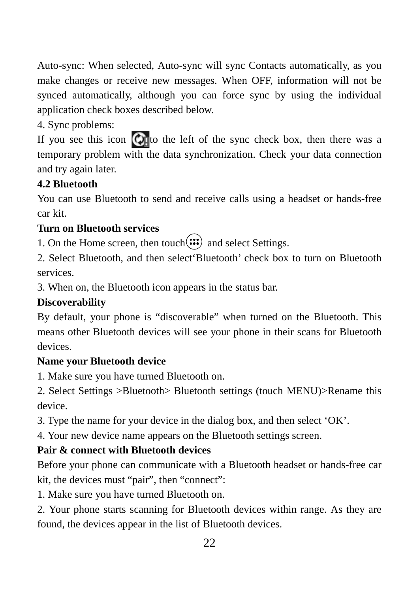Auto-sync: When selected, Auto-sync will sync Contacts automatically, as you make changes or receive new messages. When OFF, information will not be synced automatically, although you can force sync by using the individual application check boxes described below.

### 4. Sync problems:

If you see this icon  $\bigcirc$  to the left of the sync check box, then there was a temporary problem with the data synchronization. Check your data connection and try again later.

### **4.2 Bluetooth**

You can use Bluetooth to send and receive calls using a headset or hands-free car kit.

#### **Turn on Bluetooth services**

1. On the Home screen, then touch $\left(\mathbf{ii}\right)$  and select Settings.

2. Select Bluetooth, and then select'Bluetooth' check box to turn on Bluetooth services.

3. When on, the Bluetooth icon appears in the status bar.

#### **Discoverability**

By default, your phone is "discoverable" when turned on the Bluetooth. This means other Bluetooth devices will see your phone in their scans for Bluetooth devices.

#### **Name your Bluetooth device**

1. Make sure you have turned Bluetooth on.

2. Select Settings >Bluetooth> Bluetooth settings (touch MENU)>Rename this device.

3. Type the name for your device in the dialog box, and then select 'OK'.

4. Your new device name appears on the Bluetooth settings screen.

## **Pair & connect with Bluetooth devices**

Before your phone can communicate with a Bluetooth headset or hands-free car kit, the devices must "pair", then "connect":

1. Make sure you have turned Bluetooth on.

2. Your phone starts scanning for Bluetooth devices within range. As they are found, the devices appear in the list of Bluetooth devices.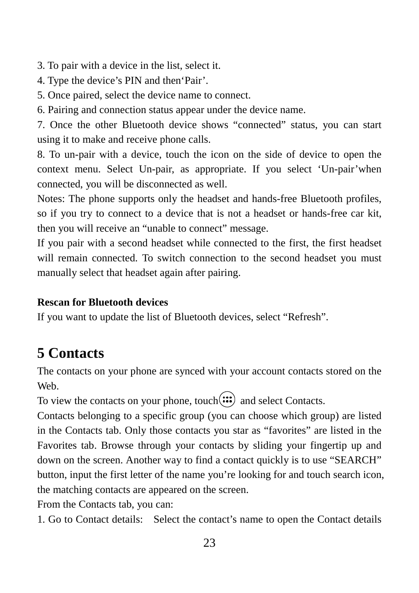3. To pair with a device in the list, select it.

- 4. Type the device's PIN and then'Pair'.
- 5. Once paired, select the device name to connect.

6. Pairing and connection status appear under the device name.

7. Once the other Bluetooth device shows "connected" status, you can start using it to make and receive phone calls.

8. To un-pair with a device, touch the icon on the side of device to open the context menu. Select Un-pair, as appropriate. If you select 'Un-pair'when connected, you will be disconnected as well.

Notes: The phone supports only the headset and hands-free Bluetooth profiles, so if you try to connect to a device that is not a headset or hands-free car kit, then you will receive an "unable to connect" message.

If you pair with a second headset while connected to the first, the first headset will remain connected. To switch connection to the second headset you must manually select that headset again after pairing.

#### **Rescan for Bluetooth devices**

If you want to update the list of Bluetooth devices, select "Refresh".

## **5 Contacts**

The contacts on your phone are synced with your account contacts stored on the Web.

To view the contacts on your phone, touch $(ii)$  and select Contacts.

Contacts belonging to a specific group (you can choose which group) are listed in the Contacts tab. Only those contacts you star as "favorites" are listed in the Favorites tab. Browse through your contacts by sliding your fingertip up and down on the screen. Another way to find a contact quickly is to use "SEARCH" button, input the first letter of the name you're looking for and touch search icon, the matching contacts are appeared on the screen.

From the Contacts tab, you can:

1. Go to Contact details: Select the contact's name to open the Contact details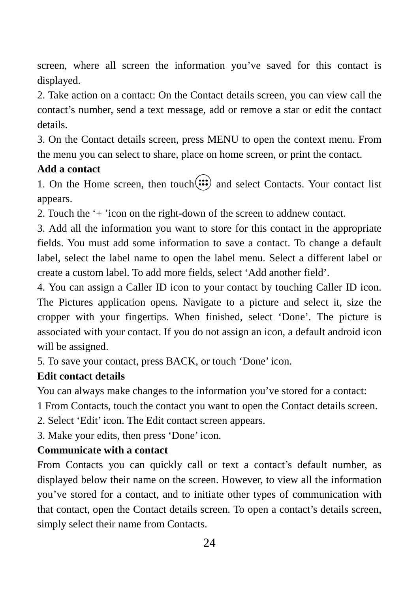screen, where all screen the information you've saved for this contact is displayed.

2. Take action on a contact: On the Contact details screen, you can view call the contact's number, send a text message, add or remove a star or edit the contact details.

3. On the Contact details screen, press MENU to open the context menu. From the menu you can select to share, place on home screen, or print the contact.

#### **Add a contact**

1. On the Home screen, then touch $\left(\mathbf{ii}\right)$  and select Contacts. Your contact list appears.

2. Touch the '+ 'icon on the right-down of the screen to addnew contact.

3. Add all the information you want to store for this contact in the appropriate fields. You must add some information to save a contact. To change a default label, select the label name to open the label menu. Select a different label or create a custom label. To add more fields, select 'Add another field'.

4. You can assign a Caller ID icon to your contact by touching Caller ID icon. The Pictures application opens. Navigate to a picture and select it, size the cropper with your fingertips. When finished, select 'Done'. The picture is associated with your contact. If you do not assign an icon, a default android icon will be assigned.

5. To save your contact, press BACK, or touch 'Done' icon.

#### **Edit contact details**

You can always make changes to the information you've stored for a contact:

1 From Contacts, touch the contact you want to open the Contact details screen.

2. Select 'Edit' icon. The Edit contact screen appears.

3. Make your edits, then press 'Done' icon.

#### **Communicate with a contact**

From Contacts you can quickly call or text a contact's default number, as displayed below their name on the screen. However, to view all the information you've stored for a contact, and to initiate other types of communication with that contact, open the Contact details screen. To open a contact's details screen, simply select their name from Contacts.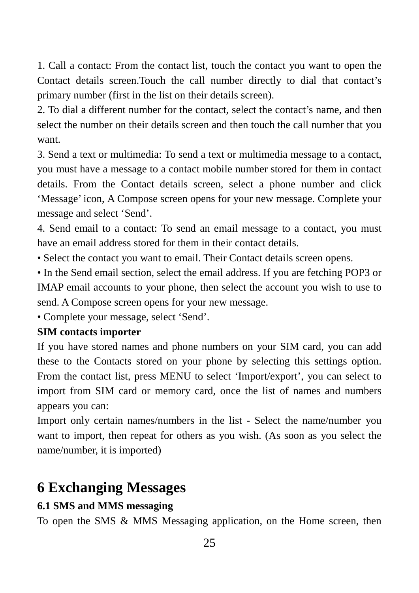1. Call a contact: From the contact list, touch the contact you want to open the Contact details screen.Touch the call number directly to dial that contact's primary number (first in the list on their details screen).

2. To dial a different number for the contact, select the contact's name, and then select the number on their details screen and then touch the call number that you want.

3. Send a text or multimedia: To send a text or multimedia message to a contact, you must have a message to a contact mobile number stored for them in contact details. From the Contact details screen, select a phone number and click 'Message' icon, A Compose screen opens for your new message. Complete your message and select 'Send'.

4. Send email to a contact: To send an email message to a contact, you must have an email address stored for them in their contact details.

• Select the contact you want to email. Their Contact details screen opens.

• In the Send email section, select the email address. If you are fetching POP3 or IMAP email accounts to your phone, then select the account you wish to use to send. A Compose screen opens for your new message.

• Complete your message, select 'Send'.

#### **SIM contacts importer**

If you have stored names and phone numbers on your SIM card, you can add these to the Contacts stored on your phone by selecting this settings option. From the contact list, press MENU to select 'Import/export', you can select to import from SIM card or memory card, once the list of names and numbers appears you can:

Import only certain names/numbers in the list - Select the name/number you want to import, then repeat for others as you wish. (As soon as you select the name/number, it is imported)

## **6 Exchanging Messages**

#### **6.1 SMS and MMS messaging**

To open the SMS & MMS Messaging application, on the Home screen, then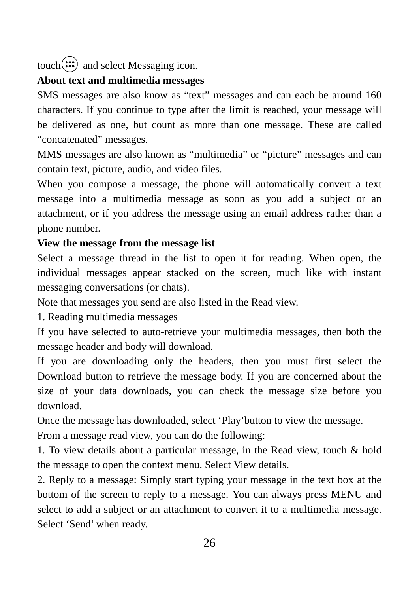touch $(::)$  and select Messaging icon.

#### **About text and multimedia messages**

SMS messages are also know as "text" messages and can each be around 160 characters. If you continue to type after the limit is reached, your message will be delivered as one, but count as more than one message. These are called "concatenated" messages.

MMS messages are also known as "multimedia" or "picture" messages and can contain text, picture, audio, and video files.

When you compose a message, the phone will automatically convert a text message into a multimedia message as soon as you add a subject or an attachment, or if you address the message using an email address rather than a phone number.

#### **View the message from the message list**

Select a message thread in the list to open it for reading. When open, the individual messages appear stacked on the screen, much like with instant messaging conversations (or chats).

Note that messages you send are also listed in the Read view.

1. Reading multimedia messages

If you have selected to auto-retrieve your multimedia messages, then both the message header and body will download.

If you are downloading only the headers, then you must first select the Download button to retrieve the message body. If you are concerned about the size of your data downloads, you can check the message size before you download.

Once the message has downloaded, select 'Play'button to view the message.

From a message read view, you can do the following:

1. To view details about a particular message, in the Read view, touch & hold the message to open the context menu. Select View details.

2. Reply to a message: Simply start typing your message in the text box at the bottom of the screen to reply to a message. You can always press MENU and select to add a subject or an attachment to convert it to a multimedia message. Select 'Send' when ready.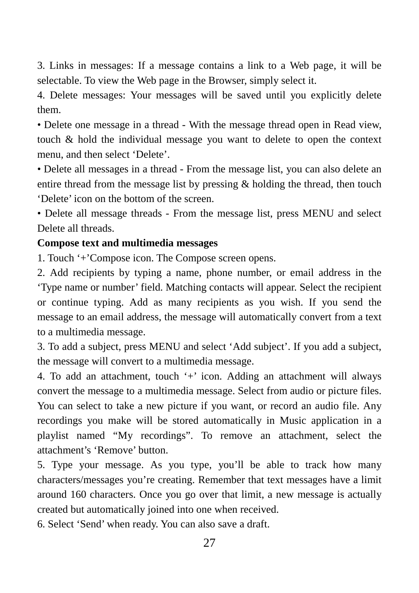3. Links in messages: If a message contains a link to a Web page, it will be selectable. To view the Web page in the Browser, simply select it.

4. Delete messages: Your messages will be saved until you explicitly delete them.

• Delete one message in a thread - With the message thread open in Read view, touch & hold the individual message you want to delete to open the context menu, and then select 'Delete'.

• Delete all messages in a thread - From the message list, you can also delete an entire thread from the message list by pressing & holding the thread, then touch 'Delete' icon on the bottom of the screen.

• Delete all message threads - From the message list, press MENU and select Delete all threads.

#### **Compose text and multimedia messages**

1. Touch '+'Compose icon. The Compose screen opens.

2. Add recipients by typing a name, phone number, or email address in the 'Type name or number' field. Matching contacts will appear. Select the recipient or continue typing. Add as many recipients as you wish. If you send the message to an email address, the message will automatically convert from a text to a multimedia message.

3. To add a subject, press MENU and select 'Add subject'. If you add a subject, the message will convert to a multimedia message.

4. To add an attachment, touch '+' icon. Adding an attachment will always convert the message to a multimedia message. Select from audio or picture files. You can select to take a new picture if you want, or record an audio file. Any recordings you make will be stored automatically in Music application in a playlist named "My recordings". To remove an attachment, select the attachment's 'Remove' button.

5. Type your message. As you type, you'll be able to track how many characters/messages you're creating. Remember that text messages have a limit around 160 characters. Once you go over that limit, a new message is actually created but automatically joined into one when received.

6. Select 'Send' when ready. You can also save a draft.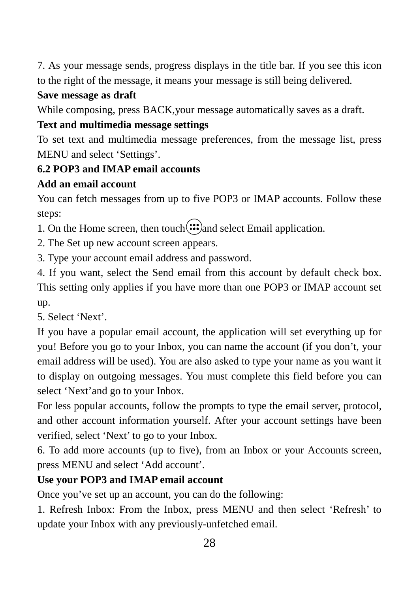7. As your message sends, progress displays in the title bar. If you see this icon to the right of the message, it means your message is still being delivered.

#### **Save message as draft**

While composing, press BACK,your message automatically saves as a draft.

#### **Text and multimedia message settings**

To set text and multimedia message preferences, from the message list, press MENU and select 'Settings'.

### **6.2 POP3 and IMAP email accounts**

#### **Add an email account**

You can fetch messages from up to five POP3 or IMAP accounts. Follow these steps:

1. On the Home screen, then touch  $\mathbf{ii}$  and select Email application.

2. The Set up new account screen appears.

3. Type your account email address and password.

4. If you want, select the Send email from this account by default check box. This setting only applies if you have more than one POP3 or IMAP account set up.

5. Select 'Next'.

If you have a popular email account, the application will set everything up for you! Before you go to your Inbox, you can name the account (if you don't, your email address will be used). You are also asked to type your name as you want it to display on outgoing messages. You must complete this field before you can select 'Next'and go to your Inbox.

For less popular accounts, follow the prompts to type the email server, protocol, and other account information yourself. After your account settings have been verified, select 'Next' to go to your Inbox.

6. To add more accounts (up to five), from an Inbox or your Accounts screen, press MENU and select 'Add account'.

#### **Use your POP3 and IMAP email account**

Once you've set up an account, you can do the following:

1. Refresh Inbox: From the Inbox, press MENU and then select 'Refresh' to update your Inbox with any previously-unfetched email.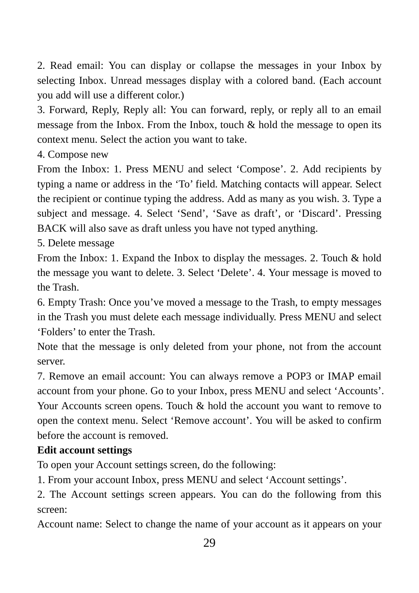2. Read email: You can display or collapse the messages in your Inbox by selecting Inbox. Unread messages display with a colored band. (Each account you add will use a different color.)

3. Forward, Reply, Reply all: You can forward, reply, or reply all to an email message from the Inbox. From the Inbox, touch & hold the message to open its context menu. Select the action you want to take.

4. Compose new

From the Inbox: 1. Press MENU and select 'Compose'. 2. Add recipients by typing a name or address in the 'To' field. Matching contacts will appear. Select the recipient or continue typing the address. Add as many as you wish. 3. Type a subject and message. 4. Select 'Send', 'Save as draft', or 'Discard'. Pressing BACK will also save as draft unless you have not typed anything.

5. Delete message

From the Inbox: 1. Expand the Inbox to display the messages. 2. Touch & hold the message you want to delete. 3. Select 'Delete'. 4. Your message is moved to the Trash.

6. Empty Trash: Once you've moved a message to the Trash, to empty messages in the Trash you must delete each message individually. Press MENU and select 'Folders' to enter the Trash.

Note that the message is only deleted from your phone, not from the account server.

7. Remove an email account: You can always remove a POP3 or IMAP email account from your phone. Go to your Inbox, press MENU and select 'Accounts'. Your Accounts screen opens. Touch & hold the account you want to remove to open the context menu. Select 'Remove account'. You will be asked to confirm before the account is removed.

#### **Edit account settings**

To open your Account settings screen, do the following:

1. From your account Inbox, press MENU and select 'Account settings'.

2. The Account settings screen appears. You can do the following from this screen:

Account name: Select to change the name of your account as it appears on your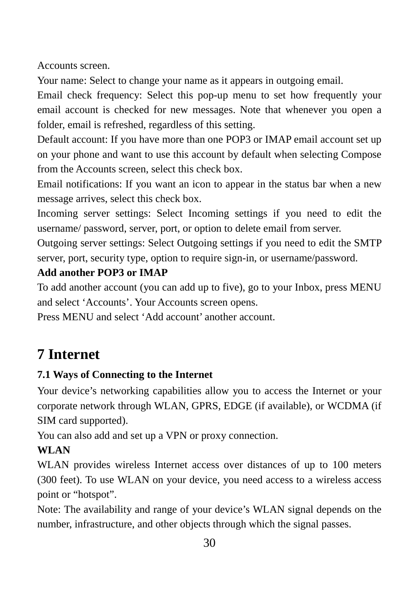Accounts screen.

Your name: Select to change your name as it appears in outgoing email.

Email check frequency: Select this pop-up menu to set how frequently your email account is checked for new messages. Note that whenever you open a folder, email is refreshed, regardless of this setting.

Default account: If you have more than one POP3 or IMAP email account set up on your phone and want to use this account by default when selecting Compose from the Accounts screen, select this check box.

Email notifications: If you want an icon to appear in the status bar when a new message arrives, select this check box.

Incoming server settings: Select Incoming settings if you need to edit the username/ password, server, port, or option to delete email from server.

Outgoing server settings: Select Outgoing settings if you need to edit the SMTP server, port, security type, option to require sign-in, or username/password.

## **Add another POP3 or IMAP**

To add another account (you can add up to five), go to your Inbox, press MENU and select 'Accounts'. Your Accounts screen opens.

Press MENU and select 'Add account' another account.

## **7 Internet**

## **7.1 Ways of Connecting to the Internet**

Your device's networking capabilities allow you to access the Internet or your corporate network through WLAN, GPRS, EDGE (if available), or WCDMA (if SIM card supported).

You can also add and set up a VPN or proxy connection.

#### **WLAN**

WLAN provides wireless Internet access over distances of up to 100 meters (300 feet). To use WLAN on your device, you need access to a wireless access point or "hotspot".

Note: The availability and range of your device's WLAN signal depends on the number, infrastructure, and other objects through which the signal passes.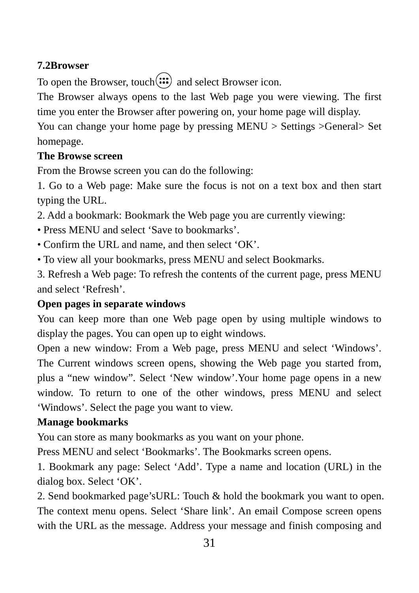#### **7.2Browser**

To open the Browser, touch $(iii)$  and select Browser icon.

The Browser always opens to the last Web page you were viewing. The first time you enter the Browser after powering on, your home page will display.

You can change your home page by pressing MENU > Settings >General> Set homepage.

#### **The Browse screen**

From the Browse screen you can do the following:

1. Go to a Web page: Make sure the focus is not on a text box and then start typing the URL.

2. Add a bookmark: Bookmark the Web page you are currently viewing:

- Press MENU and select 'Save to bookmarks'.
- Confirm the URL and name, and then select 'OK'.
- To view all your bookmarks, press MENU and select Bookmarks.

3. Refresh a Web page: To refresh the contents of the current page, press MENU and select 'Refresh'.

#### **Open pages in separate windows**

You can keep more than one Web page open by using multiple windows to display the pages. You can open up to eight windows.

Open a new window: From a Web page, press MENU and select 'Windows'. The Current windows screen opens, showing the Web page you started from, plus a "new window". Select 'New window'.Your home page opens in a new window. To return to one of the other windows, press MENU and select 'Windows'. Select the page you want to view.

#### **Manage bookmarks**

You can store as many bookmarks as you want on your phone.

Press MENU and select 'Bookmarks'. The Bookmarks screen opens.

1. Bookmark any page: Select 'Add'. Type a name and location (URL) in the dialog box. Select 'OK'.

2. Send bookmarked page'sURL: Touch & hold the bookmark you want to open. The context menu opens. Select 'Share link'. An email Compose screen opens with the URL as the message. Address your message and finish composing and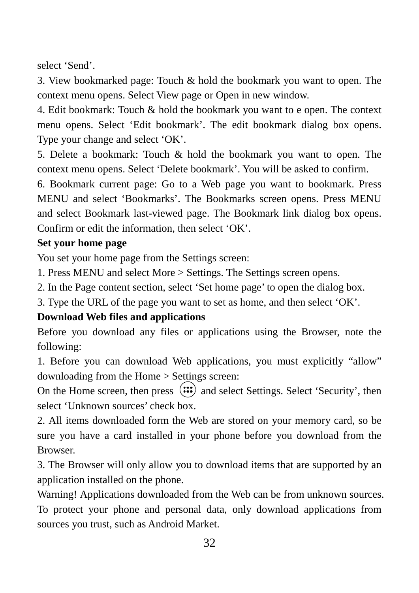select 'Send'.

3. View bookmarked page: Touch & hold the bookmark you want to open. The context menu opens. Select View page or Open in new window.

4. Edit bookmark: Touch & hold the bookmark you want to e open. The context menu opens. Select 'Edit bookmark'. The edit bookmark dialog box opens. Type your change and select 'OK'.

5. Delete a bookmark: Touch & hold the bookmark you want to open. The context menu opens. Select 'Delete bookmark'. You will be asked to confirm.

6. Bookmark current page: Go to a Web page you want to bookmark. Press MENU and select 'Bookmarks'. The Bookmarks screen opens. Press MENU and select Bookmark last-viewed page. The Bookmark link dialog box opens. Confirm or edit the information, then select 'OK'.

#### **Set your home page**

You set your home page from the Settings screen:

1. Press MENU and select More > Settings. The Settings screen opens.

2. In the Page content section, select 'Set home page' to open the dialog box.

3. Type the URL of the page you want to set as home, and then select 'OK'.

#### **Download Web files and applications**

Before you download any files or applications using the Browser, note the following:

1. Before you can download Web applications, you must explicitly "allow" downloading from the Home > Settings screen:

On the Home screen, then press  $(i\cdot\cdot)$  and select Settings. Select 'Security', then select 'Unknown sources' check box.

2. All items downloaded form the Web are stored on your memory card, so be sure you have a card installed in your phone before you download from the Browser.

3. The Browser will only allow you to download items that are supported by an application installed on the phone.

Warning! Applications downloaded from the Web can be from unknown sources. To protect your phone and personal data, only download applications from sources you trust, such as Android Market.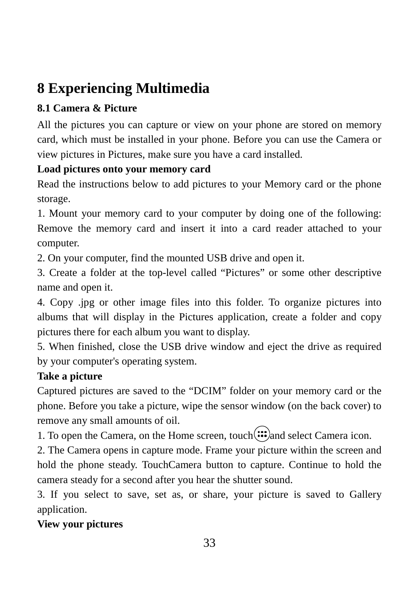# **8 Experiencing Multimedia**

## **8.1 Camera & Picture**

All the pictures you can capture or view on your phone are stored on memory card, which must be installed in your phone. Before you can use the Camera or view pictures in Pictures, make sure you have a card installed.

## **Load pictures onto your memory card**

Read the instructions below to add pictures to your Memory card or the phone storage.

1. Mount your memory card to your computer by doing one of the following: Remove the memory card and insert it into a card reader attached to your computer.

2. On your computer, find the mounted USB drive and open it.

3. Create a folder at the top-level called "Pictures" or some other descriptive name and open it.

4. Copy .jpg or other image files into this folder. To organize pictures into albums that will display in the Pictures application, create a folder and copy pictures there for each album you want to display.

5. When finished, close the USB drive window and eject the drive as required by your computer's operating system.

## **Take a picture**

Captured pictures are saved to the "DCIM" folder on your memory card or the phone. Before you take a picture, wipe the sensor window (on the back cover) to remove any small amounts of oil.

1. To open the Camera, on the Home screen, touch $(\mathbf{ii})$  and select Camera icon.

2. The Camera opens in capture mode. Frame your picture within the screen and hold the phone steady. TouchCamera button to capture. Continue to hold the camera steady for a second after you hear the shutter sound.

3. If you select to save, set as, or share, your picture is saved to Gallery application.

## **View your pictures**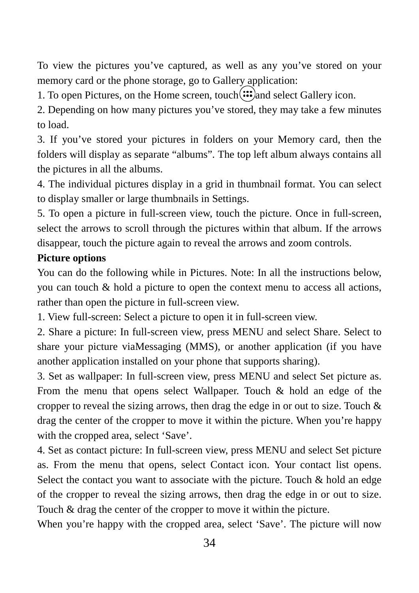To view the pictures you've captured, as well as any you've stored on your memory card or the phone storage, go to Gallery application:

1. To open Pictures, on the Home screen, touch  $\mathbf{a}_n$  select Gallery icon.

2. Depending on how many pictures you've stored, they may take a few minutes to load.

3. If you've stored your pictures in folders on your Memory card, then the folders will display as separate "albums". The top left album always contains all the pictures in all the albums.

4. The individual pictures display in a grid in thumbnail format. You can select to display smaller or large thumbnails in Settings.

5. To open a picture in full-screen view, touch the picture. Once in full-screen, select the arrows to scroll through the pictures within that album. If the arrows disappear, touch the picture again to reveal the arrows and zoom controls.

#### **Picture options**

You can do the following while in Pictures. Note: In all the instructions below, you can touch & hold a picture to open the context menu to access all actions, rather than open the picture in full-screen view.

1. View full-screen: Select a picture to open it in full-screen view.

2. Share a picture: In full-screen view, press MENU and select Share. Select to share your picture viaMessaging (MMS), or another application (if you have another application installed on your phone that supports sharing).

3. Set as wallpaper: In full-screen view, press MENU and select Set picture as. From the menu that opens select Wallpaper. Touch & hold an edge of the cropper to reveal the sizing arrows, then drag the edge in or out to size. Touch & drag the center of the cropper to move it within the picture. When you're happy with the cropped area, select 'Save'.

4. Set as contact picture: In full-screen view, press MENU and select Set picture as. From the menu that opens, select Contact icon. Your contact list opens. Select the contact you want to associate with the picture. Touch & hold an edge of the cropper to reveal the sizing arrows, then drag the edge in or out to size. Touch & drag the center of the cropper to move it within the picture.

When you're happy with the cropped area, select 'Save'. The picture will now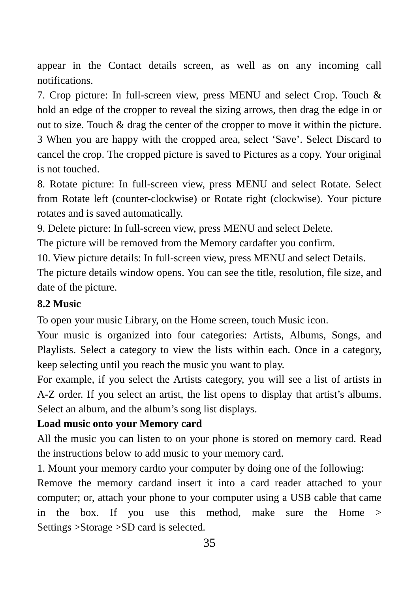appear in the Contact details screen, as well as on any incoming call notifications.

7. Crop picture: In full-screen view, press MENU and select Crop. Touch & hold an edge of the cropper to reveal the sizing arrows, then drag the edge in or out to size. Touch & drag the center of the cropper to move it within the picture. 3 When you are happy with the cropped area, select 'Save'. Select Discard to cancel the crop. The cropped picture is saved to Pictures as a copy. Your original is not touched.

8. Rotate picture: In full-screen view, press MENU and select Rotate. Select from Rotate left (counter-clockwise) or Rotate right (clockwise). Your picture rotates and is saved automatically.

9. Delete picture: In full-screen view, press MENU and select Delete.

The picture will be removed from the Memory cardafter you confirm.

10. View picture details: In full-screen view, press MENU and select Details.

The picture details window opens. You can see the title, resolution, file size, and date of the picture.

#### **8.2 Music**

To open your music Library, on the Home screen, touch Music icon.

Your music is organized into four categories: Artists, Albums, Songs, and Playlists. Select a category to view the lists within each. Once in a category, keep selecting until you reach the music you want to play.

For example, if you select the Artists category, you will see a list of artists in A-Z order. If you select an artist, the list opens to display that artist's albums. Select an album, and the album's song list displays.

#### **Load music onto your Memory card**

All the music you can listen to on your phone is stored on memory card. Read the instructions below to add music to your memory card.

1. Mount your memory cardto your computer by doing one of the following:

Remove the memory cardand insert it into a card reader attached to your computer; or, attach your phone to your computer using a USB cable that came in the box. If you use this method, make sure the Home > Settings >Storage >SD card is selected.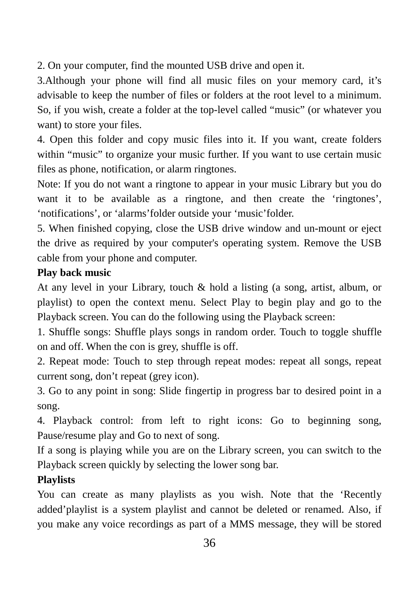2. On your computer, find the mounted USB drive and open it.

3.Although your phone will find all music files on your memory card, it's advisable to keep the number of files or folders at the root level to a minimum. So, if you wish, create a folder at the top-level called "music" (or whatever you want) to store your files.

4. Open this folder and copy music files into it. If you want, create folders within "music" to organize your music further. If you want to use certain music files as phone, notification, or alarm ringtones.

Note: If you do not want a ringtone to appear in your music Library but you do want it to be available as a ringtone, and then create the 'ringtones', 'notifications', or 'alarms'folder outside your 'music'folder.

5. When finished copying, close the USB drive window and un-mount or eject the drive as required by your computer's operating system. Remove the USB cable from your phone and computer.

#### **Play back music**

At any level in your Library, touch & hold a listing (a song, artist, album, or playlist) to open the context menu. Select Play to begin play and go to the Playback screen. You can do the following using the Playback screen:

1. Shuffle songs: Shuffle plays songs in random order. Touch to toggle shuffle on and off. When the con is grey, shuffle is off.

2. Repeat mode: Touch to step through repeat modes: repeat all songs, repeat current song, don't repeat (grey icon).

3. Go to any point in song: Slide fingertip in progress bar to desired point in a song.

4. Playback control: from left to right icons: Go to beginning song, Pause/resume play and Go to next of song.

If a song is playing while you are on the Library screen, you can switch to the Playback screen quickly by selecting the lower song bar.

#### **Playlists**

You can create as many playlists as you wish. Note that the 'Recently added'playlist is a system playlist and cannot be deleted or renamed. Also, if you make any voice recordings as part of a MMS message, they will be stored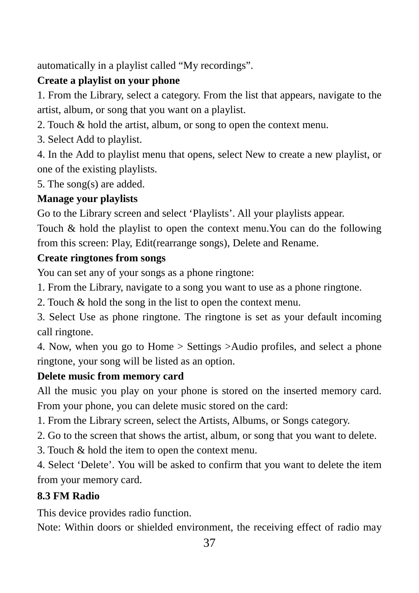automatically in a playlist called "My recordings".

## **Create a playlist on your phone**

1. From the Library, select a category. From the list that appears, navigate to the artist, album, or song that you want on a playlist.

2. Touch & hold the artist, album, or song to open the context menu.

3. Select Add to playlist.

4. In the Add to playlist menu that opens, select New to create a new playlist, or one of the existing playlists.

5. The song(s) are added.

## **Manage your playlists**

Go to the Library screen and select 'Playlists'. All your playlists appear.

Touch & hold the playlist to open the context menu.You can do the following from this screen: Play, Edit(rearrange songs), Delete and Rename.

## **Create ringtones from songs**

You can set any of your songs as a phone ringtone:

1. From the Library, navigate to a song you want to use as a phone ringtone.

2. Touch & hold the song in the list to open the context menu.

3. Select Use as phone ringtone. The ringtone is set as your default incoming call ringtone.

4. Now, when you go to Home > Settings >Audio profiles, and select a phone ringtone, your song will be listed as an option.

## **Delete music from memory card**

All the music you play on your phone is stored on the inserted memory card. From your phone, you can delete music stored on the card:

1. From the Library screen, select the Artists, Albums, or Songs category.

- 2. Go to the screen that shows the artist, album, or song that you want to delete.
- 3. Touch & hold the item to open the context menu.

4. Select 'Delete'. You will be asked to confirm that you want to delete the item from your memory card.

## **8.3 FM Radio**

This device provides radio function.

Note: Within doors or shielded environment, the receiving effect of radio may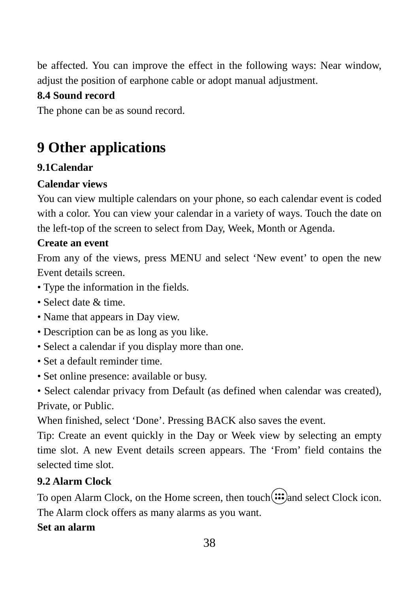be affected. You can improve the effect in the following ways: Near window, adjust the position of earphone cable or adopt manual adjustment.

### **8.4 Sound record**

The phone can be as sound record.

## **9 Other applications**

## **9.1Calendar**

#### **Calendar views**

You can view multiple calendars on your phone, so each calendar event is coded with a color. You can view your calendar in a variety of ways. Touch the date on the left-top of the screen to select from Day, Week, Month or Agenda.

#### **Create an event**

From any of the views, press MENU and select 'New event' to open the new Event details screen.

- Type the information in the fields.
- Select date & time.
- Name that appears in Day view.
- Description can be as long as you like.
- Select a calendar if you display more than one.
- Set a default reminder time.
- Set online presence: available or busy.

• Select calendar privacy from Default (as defined when calendar was created), Private, or Public.

When finished, select 'Done'. Pressing BACK also saves the event.

Tip: Create an event quickly in the Day or Week view by selecting an empty time slot. A new Event details screen appears. The 'From' field contains the selected time slot.

## **9.2 Alarm Clock**

To open Alarm Clock, on the Home screen, then touch $(iii)$  and select Clock icon. The Alarm clock offers as many alarms as you want.

#### **Set an alarm**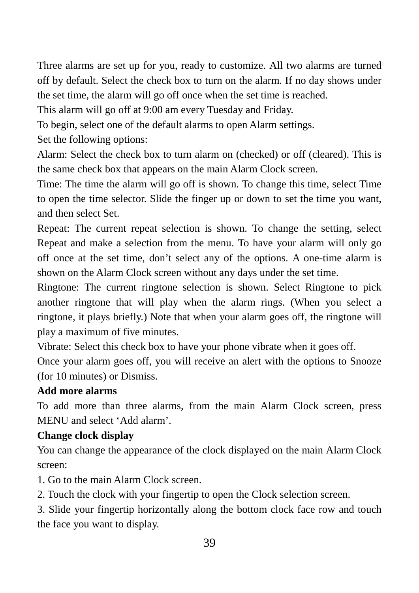Three alarms are set up for you, ready to customize. All two alarms are turned off by default. Select the check box to turn on the alarm. If no day shows under the set time, the alarm will go off once when the set time is reached.

This alarm will go off at 9:00 am every Tuesday and Friday.

To begin, select one of the default alarms to open Alarm settings.

Set the following options:

Alarm: Select the check box to turn alarm on (checked) or off (cleared). This is the same check box that appears on the main Alarm Clock screen.

Time: The time the alarm will go off is shown. To change this time, select Time to open the time selector. Slide the finger up or down to set the time you want, and then select Set.

Repeat: The current repeat selection is shown. To change the setting, select Repeat and make a selection from the menu. To have your alarm will only go off once at the set time, don't select any of the options. A one-time alarm is shown on the Alarm Clock screen without any days under the set time.

Ringtone: The current ringtone selection is shown. Select Ringtone to pick another ringtone that will play when the alarm rings. (When you select a ringtone, it plays briefly.) Note that when your alarm goes off, the ringtone will play a maximum of five minutes.

Vibrate: Select this check box to have your phone vibrate when it goes off.

Once your alarm goes off, you will receive an alert with the options to Snooze (for 10 minutes) or Dismiss.

#### **Add more alarms**

To add more than three alarms, from the main Alarm Clock screen, press MENU and select 'Add alarm'.

#### **Change clock display**

You can change the appearance of the clock displayed on the main Alarm Clock screen:

- 1. Go to the main Alarm Clock screen.
- 2. Touch the clock with your fingertip to open the Clock selection screen.

3. Slide your fingertip horizontally along the bottom clock face row and touch the face you want to display.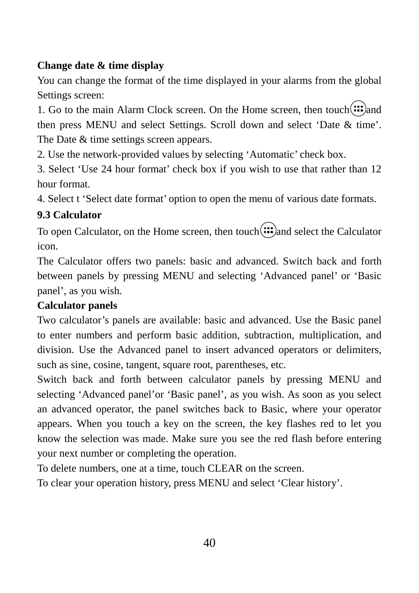### **Change date & time display**

You can change the format of the time displayed in your alarms from the global Settings screen:

1. Go to the main Alarm Clock screen. On the Home screen, then touch $(::)$ and then press MENU and select Settings. Scroll down and select 'Date & time'. The Date  $&$  time settings screen appears.

2. Use the network-provided values by selecting 'Automatic' check box.

3. Select 'Use 24 hour format' check box if you wish to use that rather than 12 hour format.

4. Select t 'Select date format' option to open the menu of various date formats.

## **9.3 Calculator**

To open Calculator, on the Home screen, then touch  $\binom{m}{n}$  and select the Calculator icon.

The Calculator offers two panels: basic and advanced. Switch back and forth between panels by pressing MENU and selecting 'Advanced panel' or 'Basic panel', as you wish.

#### **Calculator panels**

Two calculator's panels are available: basic and advanced. Use the Basic panel to enter numbers and perform basic addition, subtraction, multiplication, and division. Use the Advanced panel to insert advanced operators or delimiters, such as sine, cosine, tangent, square root, parentheses, etc.

Switch back and forth between calculator panels by pressing MENU and selecting 'Advanced panel'or 'Basic panel', as you wish. As soon as you select an advanced operator, the panel switches back to Basic, where your operator appears. When you touch a key on the screen, the key flashes red to let you know the selection was made. Make sure you see the red flash before entering your next number or completing the operation.

To delete numbers, one at a time, touch CLEAR on the screen.

To clear your operation history, press MENU and select 'Clear history'.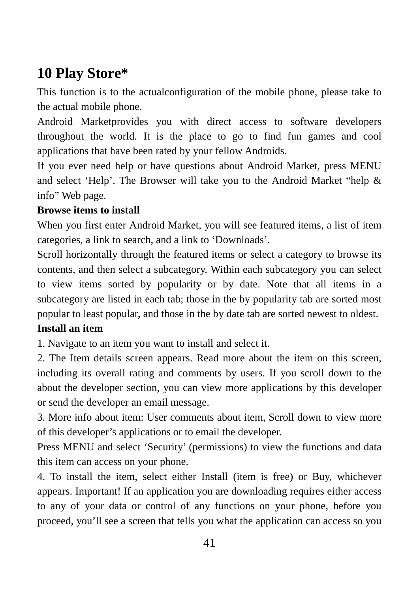## **10 Play Store\***

This function is to the actualconfiguration of the mobile phone, please take to the actual mobile phone.

Android Marketprovides you with direct access to software developers throughout the world. It is the place to go to find fun games and cool applications that have been rated by your fellow Androids.

If you ever need help or have questions about Android Market, press MENU and select 'Help'. The Browser will take you to the Android Market "help & info" Web page.

#### **Browse items to install**

When you first enter Android Market, you will see featured items, a list of item categories, a link to search, and a link to 'Downloads'.

Scroll horizontally through the featured items or select a category to browse its contents, and then select a subcategory. Within each subcategory you can select to view items sorted by popularity or by date. Note that all items in a subcategory are listed in each tab; those in the by popularity tab are sorted most popular to least popular, and those in the by date tab are sorted newest to oldest.

#### **Install an item**

1. Navigate to an item you want to install and select it.

2. The Item details screen appears. Read more about the item on this screen, including its overall rating and comments by users. If you scroll down to the about the developer section, you can view more applications by this developer or send the developer an email message.

3. More info about item: User comments about item, Scroll down to view more of this developer's applications or to email the developer.

Press MENU and select 'Security' (permissions) to view the functions and data this item can access on your phone.

4. To install the item, select either Install (item is free) or Buy, whichever appears. Important! If an application you are downloading requires either access to any of your data or control of any functions on your phone, before you proceed, you'll see a screen that tells you what the application can access so you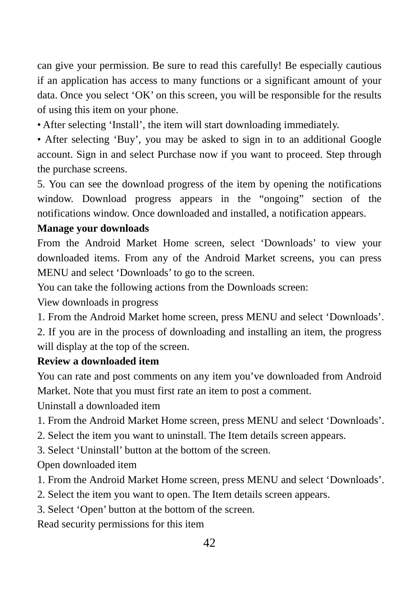can give your permission. Be sure to read this carefully! Be especially cautious if an application has access to many functions or a significant amount of your data. Once you select 'OK' on this screen, you will be responsible for the results of using this item on your phone.

• After selecting 'Install', the item will start downloading immediately.

• After selecting 'Buy', you may be asked to sign in to an additional Google account. Sign in and select Purchase now if you want to proceed. Step through the purchase screens.

5. You can see the download progress of the item by opening the notifications window. Download progress appears in the "ongoing" section of the notifications window. Once downloaded and installed, a notification appears.

#### **Manage your downloads**

From the Android Market Home screen, select 'Downloads' to view your downloaded items. From any of the Android Market screens, you can press MENU and select 'Downloads' to go to the screen.

You can take the following actions from the Downloads screen:

View downloads in progress

1. From the Android Market home screen, press MENU and select 'Downloads'.

2. If you are in the process of downloading and installing an item, the progress will display at the top of the screen.

#### **Review a downloaded item**

You can rate and post comments on any item you've downloaded from Android Market. Note that you must first rate an item to post a comment.

Uninstall a downloaded item

- 1. From the Android Market Home screen, press MENU and select 'Downloads'.
- 2. Select the item you want to uninstall. The Item details screen appears.
- 3. Select 'Uninstall' button at the bottom of the screen.

Open downloaded item

- 1. From the Android Market Home screen, press MENU and select 'Downloads'.
- 2. Select the item you want to open. The Item details screen appears.
- 3. Select 'Open' button at the bottom of the screen.

Read security permissions for this item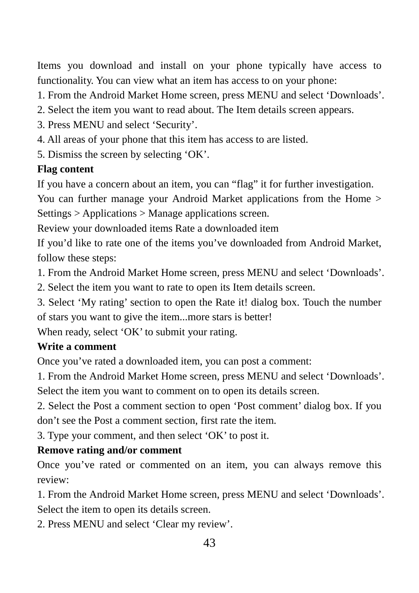Items you download and install on your phone typically have access to functionality. You can view what an item has access to on your phone:

1. From the Android Market Home screen, press MENU and select 'Downloads'.

- 2. Select the item you want to read about. The Item details screen appears.
- 3. Press MENU and select 'Security'.
- 4. All areas of your phone that this item has access to are listed.
- 5. Dismiss the screen by selecting 'OK'.

### **Flag content**

If you have a concern about an item, you can "flag" it for further investigation.

You can further manage your Android Market applications from the Home > Settings > Applications > Manage applications screen.

Review your downloaded items Rate a downloaded item

If you'd like to rate one of the items you've downloaded from Android Market, follow these steps:

1. From the Android Market Home screen, press MENU and select 'Downloads'.

2. Select the item you want to rate to open its Item details screen.

3. Select 'My rating' section to open the Rate it! dialog box. Touch the number of stars you want to give the item...more stars is better!

When ready, select 'OK' to submit your rating.

#### **Write a comment**

Once you've rated a downloaded item, you can post a comment:

1. From the Android Market Home screen, press MENU and select 'Downloads'. Select the item you want to comment on to open its details screen.

2. Select the Post a comment section to open 'Post comment' dialog box. If you don't see the Post a comment section, first rate the item.

3. Type your comment, and then select 'OK' to post it.

#### **Remove rating and/or comment**

Once you've rated or commented on an item, you can always remove this review:

1. From the Android Market Home screen, press MENU and select 'Downloads'. Select the item to open its details screen.

2. Press MENU and select 'Clear my review'.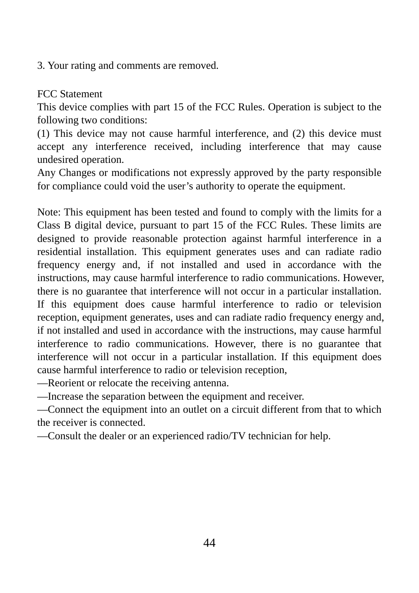3. Your rating and comments are removed.

FCC Statement

This device complies with part 15 of the FCC Rules. Operation is subject to the following two conditions:

(1) This device may not cause harmful interference, and (2) this device must accept any interference received, including interference that may cause undesired operation.

Any Changes or modifications not expressly approved by the party responsible for compliance could void the user's authority to operate the equipment.

Note: This equipment has been tested and found to comply with the limits for a Class B digital device, pursuant to part 15 of the FCC Rules. These limits are designed to provide reasonable protection against harmful interference in a residential installation. This equipment generates uses and can radiate radio frequency energy and, if not installed and used in accordance with the instructions, may cause harmful interference to radio communications. However, there is no guarantee that interference will not occur in a particular installation. If this equipment does cause harmful interference to radio or television reception, equipment generates, uses and can radiate radio frequency energy and, if not installed and used in accordance with the instructions, may cause harmful interference to radio communications. However, there is no guarantee that interference will not occur in a particular installation. If this equipment does cause harmful interference to radio or television reception,

—Reorient or relocate the receiving antenna.

—Increase the separation between the equipment and receiver.

—Connect the equipment into an outlet on a circuit different from that to which the receiver is connected.

—Consult the dealer or an experienced radio/TV technician for help.